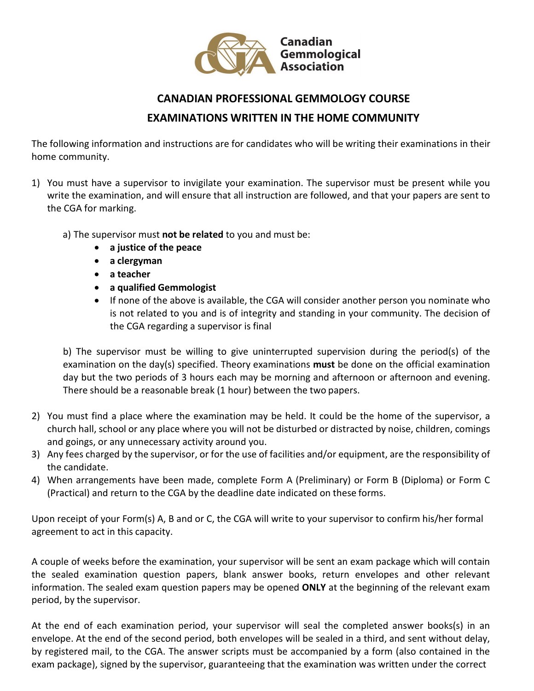

## **CANADIAN PROFESSIONAL GEMMOLOGY COURSE EXAMINATIONS WRITTEN IN THE HOME COMMUNITY**

The following information and instructions are for candidates who will be writing their examinations in their home community.

- 1) You must have a supervisor to invigilate your examination. The supervisor must be present while you write the examination, and will ensure that all instruction are followed, and that your papers are sent to the CGA for marking.
	- a) The supervisor must **not be related** to you and must be:
		- **a justice of the peace**
		- **a clergyman**
		- **a teacher**
		- **a qualified Gemmologist**
		- If none of the above is available, the CGA will consider another person you nominate who is not related to you and is of integrity and standing in your community. The decision of the CGA regarding a supervisor is final

b) The supervisor must be willing to give uninterrupted supervision during the period(s) of the examination on the day(s) specified. Theory examinations **must** be done on the official examination day but the two periods of 3 hours each may be morning and afternoon or afternoon and evening. There should be a reasonable break (1 hour) between the two papers.

- 2) You must find a place where the examination may be held. It could be the home of the supervisor, a church hall, school or any place where you will not be disturbed or distracted by noise, children, comings and goings, or any unnecessary activity around you.
- 3) Any fees charged by the supervisor, or for the use of facilities and/or equipment, are the responsibility of the candidate.
- 4) When arrangements have been made, complete Form A (Preliminary) or Form B (Diploma) or Form C (Practical) and return to the CGA by the deadline date indicated on these forms.

Upon receipt of your Form(s) A, B and or C, the CGA will write to your supervisor to confirm his/her formal agreement to act in this capacity.

A couple of weeks before the examination, your supervisor will be sent an exam package which will contain the sealed examination question papers, blank answer books, return envelopes and other relevant information. The sealed exam question papers may be opened **ONLY** at the beginning of the relevant exam period, by the supervisor.

At the end of each examination period, your supervisor will seal the completed answer books(s) in an envelope. At the end of the second period, both envelopes will be sealed in a third, and sent without delay, by registered mail, to the CGA. The answer scripts must be accompanied by a form (also contained in the exam package), signed by the supervisor, guaranteeing that the examination was written under the correct